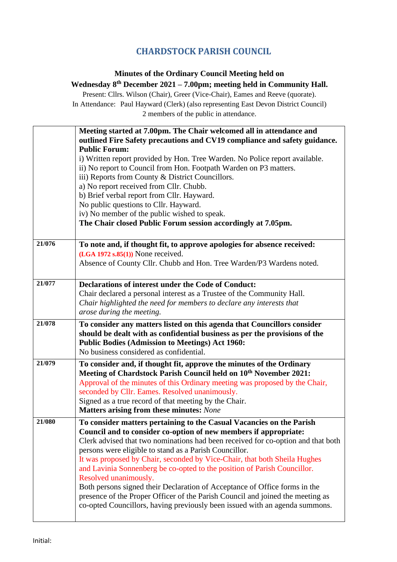## **CHARDSTOCK PARISH COUNCIL**

## **Minutes of the Ordinary Council Meeting held on Wednesday 8 th December 2021 – 7.00pm; meeting held in Community Hall.**

Present: Cllrs. Wilson (Chair), Greer (Vice-Chair), Eames and Reeve (quorate). In Attendance: Paul Hayward (Clerk) (also representing East Devon District Council) 2 members of the public in attendance.

|        | Meeting started at 7.00pm. The Chair welcomed all in attendance and<br>outlined Fire Safety precautions and CV19 compliance and safety guidance.<br><b>Public Forum:</b><br>i) Written report provided by Hon. Tree Warden. No Police report available.<br>ii) No report to Council from Hon. Footpath Warden on P3 matters.<br>iii) Reports from County & District Councillors.<br>a) No report received from Cllr. Chubb.<br>b) Brief verbal report from Cllr. Hayward.<br>No public questions to Cllr. Hayward.<br>iv) No member of the public wished to speak.<br>The Chair closed Public Forum session accordingly at 7.05pm.                                                                                      |
|--------|-------------------------------------------------------------------------------------------------------------------------------------------------------------------------------------------------------------------------------------------------------------------------------------------------------------------------------------------------------------------------------------------------------------------------------------------------------------------------------------------------------------------------------------------------------------------------------------------------------------------------------------------------------------------------------------------------------------------------|
| 21/076 | To note and, if thought fit, to approve apologies for absence received:<br>$(LGA 1972 s.85(1))$ None received.<br>Absence of County Cllr. Chubb and Hon. Tree Warden/P3 Wardens noted.                                                                                                                                                                                                                                                                                                                                                                                                                                                                                                                                  |
| 21/077 | Declarations of interest under the Code of Conduct:<br>Chair declared a personal interest as a Trustee of the Community Hall.<br>Chair highlighted the need for members to declare any interests that<br>arose during the meeting.                                                                                                                                                                                                                                                                                                                                                                                                                                                                                      |
| 21/078 | To consider any matters listed on this agenda that Councillors consider<br>should be dealt with as confidential business as per the provisions of the<br><b>Public Bodies (Admission to Meetings) Act 1960:</b><br>No business considered as confidential.                                                                                                                                                                                                                                                                                                                                                                                                                                                              |
| 21/079 | To consider and, if thought fit, approve the minutes of the Ordinary<br>Meeting of Chardstock Parish Council held on 10 <sup>th</sup> November 2021:<br>Approval of the minutes of this Ordinary meeting was proposed by the Chair,<br>seconded by Cllr. Eames. Resolved unanimously.<br>Signed as a true record of that meeting by the Chair.<br>Matters arising from these minutes: None                                                                                                                                                                                                                                                                                                                              |
| 21/080 | To consider matters pertaining to the Casual Vacancies on the Parish<br>Council and to consider co-option of new members if appropriate:<br>Clerk advised that two nominations had been received for co-option and that both<br>persons were eligible to stand as a Parish Councillor.<br>It was proposed by Chair, seconded by Vice-Chair, that both Sheila Hughes<br>and Lavinia Sonnenberg be co-opted to the position of Parish Councillor.<br>Resolved unanimously.<br>Both persons signed their Declaration of Acceptance of Office forms in the<br>presence of the Proper Officer of the Parish Council and joined the meeting as<br>co-opted Councillors, having previously been issued with an agenda summons. |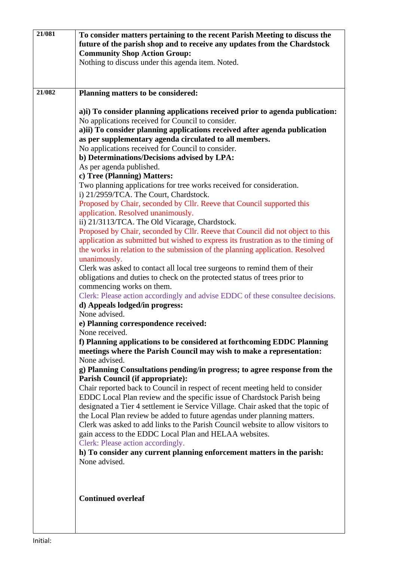| 21/081 | To consider matters pertaining to the recent Parish Meeting to discuss the<br>future of the parish shop and to receive any updates from the Chardstock<br><b>Community Shop Action Group:</b><br>Nothing to discuss under this agenda item. Noted.                                                                                                                                                                                                                                                                                                                                                                                                                                                                                                                                                                                                                                                                                                                                                                                                                                                                                                                                                                                                                                                                                                                                                                                                                                                                                                                                                                                                                                                                                                                                                                                                                                                                                                                                                                                                                                                                                                                                                                                                                                                                            |
|--------|-------------------------------------------------------------------------------------------------------------------------------------------------------------------------------------------------------------------------------------------------------------------------------------------------------------------------------------------------------------------------------------------------------------------------------------------------------------------------------------------------------------------------------------------------------------------------------------------------------------------------------------------------------------------------------------------------------------------------------------------------------------------------------------------------------------------------------------------------------------------------------------------------------------------------------------------------------------------------------------------------------------------------------------------------------------------------------------------------------------------------------------------------------------------------------------------------------------------------------------------------------------------------------------------------------------------------------------------------------------------------------------------------------------------------------------------------------------------------------------------------------------------------------------------------------------------------------------------------------------------------------------------------------------------------------------------------------------------------------------------------------------------------------------------------------------------------------------------------------------------------------------------------------------------------------------------------------------------------------------------------------------------------------------------------------------------------------------------------------------------------------------------------------------------------------------------------------------------------------------------------------------------------------------------------------------------------------|
| 21/082 | Planning matters to be considered:                                                                                                                                                                                                                                                                                                                                                                                                                                                                                                                                                                                                                                                                                                                                                                                                                                                                                                                                                                                                                                                                                                                                                                                                                                                                                                                                                                                                                                                                                                                                                                                                                                                                                                                                                                                                                                                                                                                                                                                                                                                                                                                                                                                                                                                                                            |
|        | a) i) To consider planning applications received prior to agenda publication:<br>No applications received for Council to consider.<br>a)ii) To consider planning applications received after agenda publication<br>as per supplementary agenda circulated to all members.<br>No applications received for Council to consider.<br>b) Determinations/Decisions advised by LPA:<br>As per agenda published.<br>c) Tree (Planning) Matters:<br>Two planning applications for tree works received for consideration.<br>i) 21/2959/TCA. The Court, Chardstock.<br>Proposed by Chair, seconded by Cllr. Reeve that Council supported this<br>application. Resolved unanimously.<br>ii) 21/3113/TCA. The Old Vicarage, Chardstock.<br>Proposed by Chair, seconded by Cllr. Reeve that Council did not object to this<br>application as submitted but wished to express its frustration as to the timing of<br>the works in relation to the submission of the planning application. Resolved<br>unanimously.<br>Clerk was asked to contact all local tree surgeons to remind them of their<br>obligations and duties to check on the protected status of trees prior to<br>commencing works on them.<br>Clerk: Please action accordingly and advise EDDC of these consultee decisions.<br>d) Appeals lodged/in progress:<br>None advised.<br>e) Planning correspondence received:<br>None received.<br>f) Planning applications to be considered at forthcoming EDDC Planning<br>meetings where the Parish Council may wish to make a representation:<br>None advised.<br>g) Planning Consultations pending/in progress; to agree response from the<br><b>Parish Council (if appropriate):</b><br>Chair reported back to Council in respect of recent meeting held to consider<br>EDDC Local Plan review and the specific issue of Chardstock Parish being<br>designated a Tier 4 settlement ie Service Village. Chair asked that the topic of<br>the Local Plan review be added to future agendas under planning matters.<br>Clerk was asked to add links to the Parish Council website to allow visitors to<br>gain access to the EDDC Local Plan and HELAA websites.<br>Clerk: Please action accordingly.<br>h) To consider any current planning enforcement matters in the parish:<br>None advised.<br><b>Continued overleaf</b> |
|        |                                                                                                                                                                                                                                                                                                                                                                                                                                                                                                                                                                                                                                                                                                                                                                                                                                                                                                                                                                                                                                                                                                                                                                                                                                                                                                                                                                                                                                                                                                                                                                                                                                                                                                                                                                                                                                                                                                                                                                                                                                                                                                                                                                                                                                                                                                                               |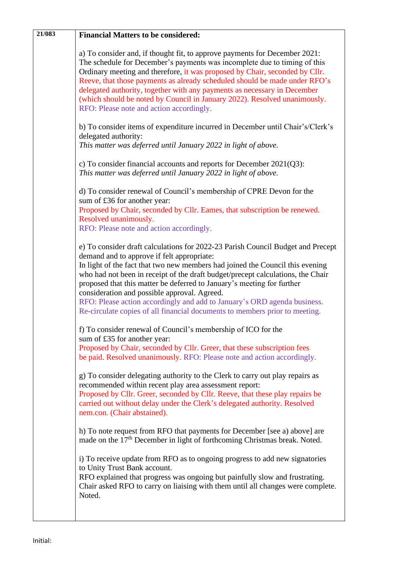| 21/083 | <b>Financial Matters to be considered:</b>                                                                                                                                                                                                                                                                                                                                                                                                                                                                                                                                             |
|--------|----------------------------------------------------------------------------------------------------------------------------------------------------------------------------------------------------------------------------------------------------------------------------------------------------------------------------------------------------------------------------------------------------------------------------------------------------------------------------------------------------------------------------------------------------------------------------------------|
|        | a) To consider and, if thought fit, to approve payments for December 2021:<br>The schedule for December's payments was incomplete due to timing of this<br>Ordinary meeting and therefore, it was proposed by Chair, seconded by Cllr.<br>Reeve, that those payments as already scheduled should be made under RFO's<br>delegated authority, together with any payments as necessary in December<br>(which should be noted by Council in January 2022). Resolved unanimously.<br>RFO: Please note and action accordingly.                                                              |
|        | b) To consider items of expenditure incurred in December until Chair's/Clerk's<br>delegated authority:<br>This matter was deferred until January 2022 in light of above.                                                                                                                                                                                                                                                                                                                                                                                                               |
|        | c) To consider financial accounts and reports for December $2021(Q3)$ :<br>This matter was deferred until January 2022 in light of above.                                                                                                                                                                                                                                                                                                                                                                                                                                              |
|        | d) To consider renewal of Council's membership of CPRE Devon for the<br>sum of £36 for another year:                                                                                                                                                                                                                                                                                                                                                                                                                                                                                   |
|        | Proposed by Chair, seconded by Cllr. Eames, that subscription be renewed.<br>Resolved unanimously.<br>RFO: Please note and action accordingly.                                                                                                                                                                                                                                                                                                                                                                                                                                         |
|        | e) To consider draft calculations for 2022-23 Parish Council Budget and Precept<br>demand and to approve if felt appropriate:<br>In light of the fact that two new members had joined the Council this evening<br>who had not been in receipt of the draft budget/precept calculations, the Chair<br>proposed that this matter be deferred to January's meeting for further<br>consideration and possible approval. Agreed.<br>RFO: Please action accordingly and add to January's ORD agenda business.<br>Re-circulate copies of all financial documents to members prior to meeting. |
|        | f) To consider renewal of Council's membership of ICO for the<br>sum of £35 for another year:<br>Proposed by Chair, seconded by Cllr. Greer, that these subscription fees<br>be paid. Resolved unanimously. RFO: Please note and action accordingly.                                                                                                                                                                                                                                                                                                                                   |
|        | g) To consider delegating authority to the Clerk to carry out play repairs as<br>recommended within recent play area assessment report:<br>Proposed by Cllr. Greer, seconded by Cllr. Reeve, that these play repairs be<br>carried out without delay under the Clerk's delegated authority. Resolved<br>nem.con. (Chair abstained).                                                                                                                                                                                                                                                    |
|        | h) To note request from RFO that payments for December [see a) above] are<br>made on the 17 <sup>th</sup> December in light of forthcoming Christmas break. Noted.                                                                                                                                                                                                                                                                                                                                                                                                                     |
|        | i) To receive update from RFO as to ongoing progress to add new signatories<br>to Unity Trust Bank account.<br>RFO explained that progress was ongoing but painfully slow and frustrating.<br>Chair asked RFO to carry on liaising with them until all changes were complete.<br>Noted.                                                                                                                                                                                                                                                                                                |
|        |                                                                                                                                                                                                                                                                                                                                                                                                                                                                                                                                                                                        |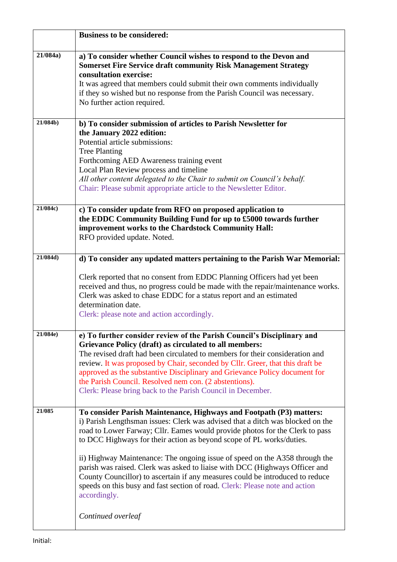|          | <b>Business to be considered:</b>                                                                                                                                                                                                                                                                                                                                                                                                                                                                                                                                                                                                                                                 |
|----------|-----------------------------------------------------------------------------------------------------------------------------------------------------------------------------------------------------------------------------------------------------------------------------------------------------------------------------------------------------------------------------------------------------------------------------------------------------------------------------------------------------------------------------------------------------------------------------------------------------------------------------------------------------------------------------------|
| 21/084a) | a) To consider whether Council wishes to respond to the Devon and<br><b>Somerset Fire Service draft community Risk Management Strategy</b><br>consultation exercise:<br>It was agreed that members could submit their own comments individually<br>if they so wished but no response from the Parish Council was necessary.<br>No further action required.                                                                                                                                                                                                                                                                                                                        |
| 21/084b) | b) To consider submission of articles to Parish Newsletter for<br>the January 2022 edition:<br>Potential article submissions:<br><b>Tree Planting</b><br>Forthcoming AED Awareness training event<br>Local Plan Review process and timeline<br>All other content delegated to the Chair to submit on Council's behalf.<br>Chair: Please submit appropriate article to the Newsletter Editor.                                                                                                                                                                                                                                                                                      |
| 21/084c) | c) To consider update from RFO on proposed application to<br>the EDDC Community Building Fund for up to £5000 towards further<br>improvement works to the Chardstock Community Hall:<br>RFO provided update. Noted.                                                                                                                                                                                                                                                                                                                                                                                                                                                               |
| 21/084d) | d) To consider any updated matters pertaining to the Parish War Memorial:<br>Clerk reported that no consent from EDDC Planning Officers had yet been<br>received and thus, no progress could be made with the repair/maintenance works.<br>Clerk was asked to chase EDDC for a status report and an estimated<br>determination date.<br>Clerk: please note and action accordingly.                                                                                                                                                                                                                                                                                                |
| 21/084e) | e) To further consider review of the Parish Council's Disciplinary and<br>Grievance Policy (draft) as circulated to all members:<br>The revised draft had been circulated to members for their consideration and<br>review. It was proposed by Chair, seconded by Cllr. Greer, that this draft be<br>approved as the substantive Disciplinary and Grievance Policy document for<br>the Parish Council. Resolved nem con. (2 abstentions).<br>Clerk: Please bring back to the Parish Council in December.                                                                                                                                                                          |
| 21/085   | To consider Parish Maintenance, Highways and Footpath (P3) matters:<br>i) Parish Lengthsman issues: Clerk was advised that a ditch was blocked on the<br>road to Lower Farway; Cllr. Eames would provide photos for the Clerk to pass<br>to DCC Highways for their action as beyond scope of PL works/duties.<br>ii) Highway Maintenance: The ongoing issue of speed on the A358 through the<br>parish was raised. Clerk was asked to liaise with DCC (Highways Officer and<br>County Councillor) to ascertain if any measures could be introduced to reduce<br>speeds on this busy and fast section of road. Clerk: Please note and action<br>accordingly.<br>Continued overleaf |